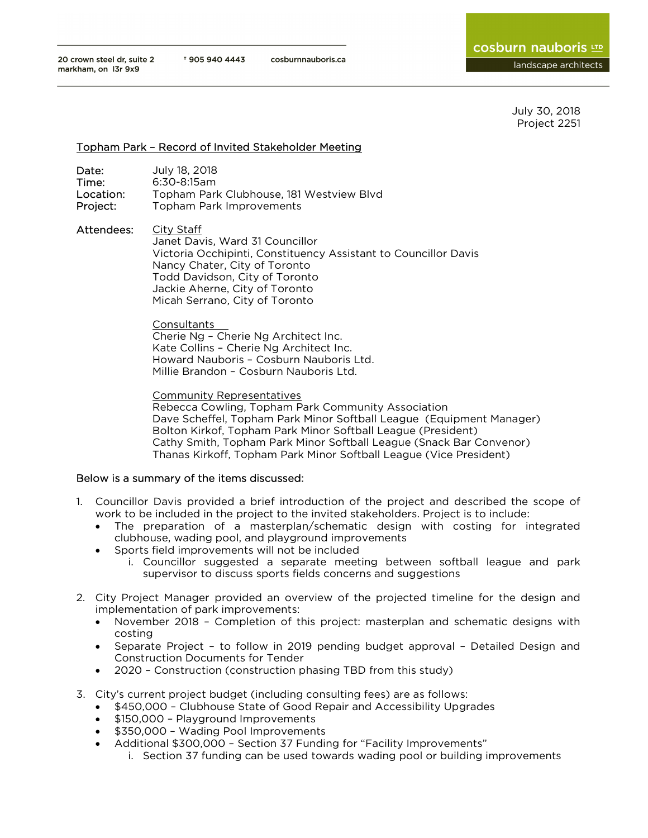July 30, 2018 Project 2251

### Topham Park – Record of Invited Stakeholder Meeting

| Date:     | July 18, 2018                            |
|-----------|------------------------------------------|
| Time:     | $6:30-8:15am$                            |
| Location: | Topham Park Clubhouse, 181 Westview Blvd |
| Project:  | Topham Park Improvements                 |

Attendees: City Staff Janet Davis, Ward 31 Councillor Victoria Occhipinti, Constituency Assistant to Councillor Davis Nancy Chater, City of Toronto Todd Davidson, City of Toronto Jackie Aherne, City of Toronto Micah Serrano, City of Toronto

> Consultants Cherie Ng – Cherie Ng Architect Inc. Kate Collins – Cherie Ng Architect Inc. Howard Nauboris – Cosburn Nauboris Ltd. Millie Brandon – Cosburn Nauboris Ltd.

Community Representatives Rebecca Cowling, Topham Park Community Association Dave Scheffel, Topham Park Minor Softball League (Equipment Manager) Bolton Kirkof, Topham Park Minor Softball League (President) Cathy Smith, Topham Park Minor Softball League (Snack Bar Convenor) Thanas Kirkoff, Topham Park Minor Softball League (Vice President)

### Below is a summary of the items discussed:

- 1. Councillor Davis provided a brief introduction of the project and described the scope of work to be included in the project to the invited stakeholders. Project is to include:
	- The preparation of a masterplan/schematic design with costing for integrated clubhouse, wading pool, and playground improvements
	- Sports field improvements will not be included
		- i. Councillor suggested a separate meeting between softball league and park supervisor to discuss sports fields concerns and suggestions
- 2. City Project Manager provided an overview of the projected timeline for the design and implementation of park improvements:
	- November 2018 Completion of this project: masterplan and schematic designs with costing
	- Separate Project to follow in 2019 pending budget approval Detailed Design and Construction Documents for Tender
	- 2020 Construction (construction phasing TBD from this study)
- 3. City's current project budget (including consulting fees) are as follows:
	- \$450,000 Clubhouse State of Good Repair and Accessibility Upgrades
	- \$150,000 Playground Improvements
	- \$350,000 Wading Pool Improvements
	- Additional \$300,000 Section 37 Funding for "Facility Improvements"
		- i. Section 37 funding can be used towards wading pool or building improvements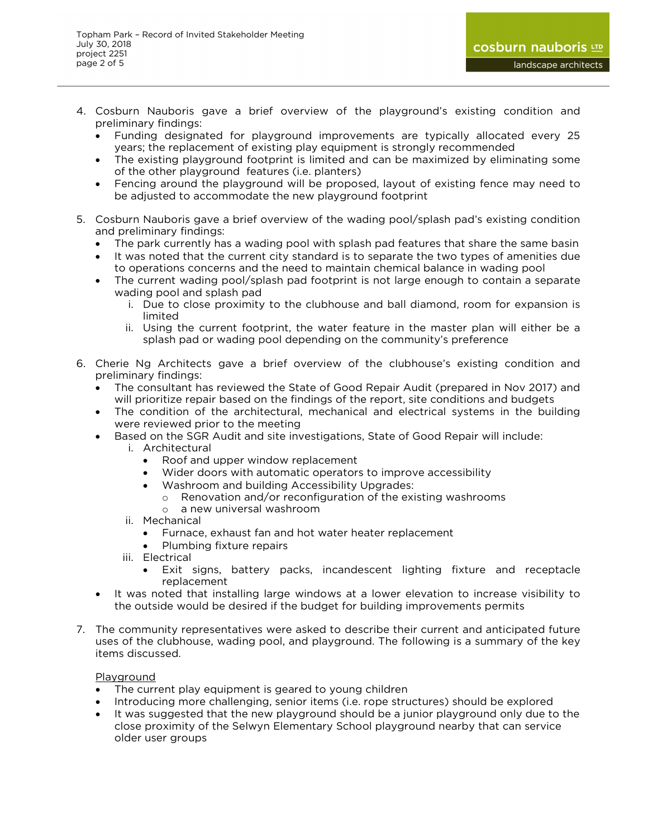- 4. Cosburn Nauboris gave a brief overview of the playground's existing condition and preliminary findings:
	- Funding designated for playground improvements are typically allocated every 25 years; the replacement of existing play equipment is strongly recommended
	- The existing playground footprint is limited and can be maximized by eliminating some of the other playground features (i.e. planters)
	- Fencing around the playground will be proposed, layout of existing fence may need to be adjusted to accommodate the new playground footprint
- 5. Cosburn Nauboris gave a brief overview of the wading pool/splash pad's existing condition and preliminary findings:
	- The park currently has a wading pool with splash pad features that share the same basin
	- It was noted that the current city standard is to separate the two types of amenities due to operations concerns and the need to maintain chemical balance in wading pool
	- The current wading pool/splash pad footprint is not large enough to contain a separate wading pool and splash pad
		- i. Due to close proximity to the clubhouse and ball diamond, room for expansion is limited
		- ii. Using the current footprint, the water feature in the master plan will either be a splash pad or wading pool depending on the community's preference
- 6. Cherie Ng Architects gave a brief overview of the clubhouse's existing condition and preliminary findings:
	- The consultant has reviewed the State of Good Repair Audit (prepared in Nov 2017) and will prioritize repair based on the findings of the report, site conditions and budgets
	- The condition of the architectural, mechanical and electrical systems in the building were reviewed prior to the meeting
	- **Based on the SGR Audit and site investigations, State of Good Repair will include:** 
		- i. Architectural
			- Roof and upper window replacement
			- Wider doors with automatic operators to improve accessibility
			- Washroom and building Accessibility Upgrades:
				- o Renovation and/or reconfiguration of the existing washrooms
				- o a new universal washroom
		- ii. Mechanical
			- Furnace, exhaust fan and hot water heater replacement
			- Plumbing fixture repairs
		- iii. Electrical
			- Exit signs, battery packs, incandescent lighting fixture and receptacle replacement
	- It was noted that installing large windows at a lower elevation to increase visibility to the outside would be desired if the budget for building improvements permits
- 7. The community representatives were asked to describe their current and anticipated future uses of the clubhouse, wading pool, and playground. The following is a summary of the key items discussed.

# Playground

- The current play equipment is geared to young children
- Introducing more challenging, senior items (i.e. rope structures) should be explored
- It was suggested that the new playground should be a junior playground only due to the close proximity of the Selwyn Elementary School playground nearby that can service older user groups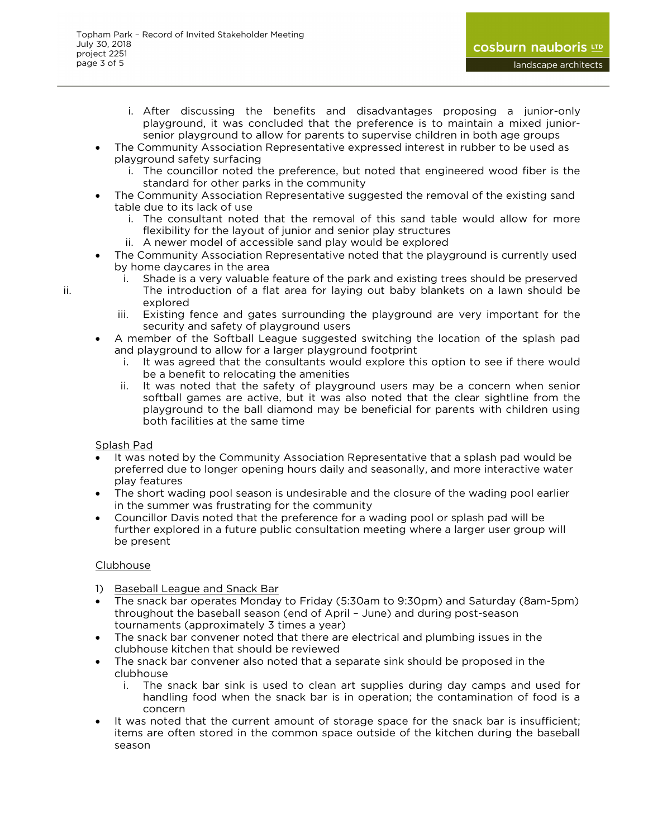- i. After discussing the benefits and disadvantages proposing a junior-only playground, it was concluded that the preference is to maintain a mixed junior-senior playground to allow for parents to supervise children in both age groups
- The Community Association Representative expressed interest in rubber to be used as playground safety surfacing
	- i. The councillor noted the preference, but noted that engineered wood fiber is the standard for other parks in the community
- The Community Association Representative suggested the removal of the existing sand table due to its lack of use
	- i. The consultant noted that the removal of this sand table would allow for more flexibility for the layout of junior and senior play structures
	- ii. A newer model of accessible sand play would be explored
- The Community Association Representative noted that the playground is currently used by home daycares in the area
- i. Shade is a very valuable feature of the park and existing trees should be preserved ii. The introduction of a flat area for laying out baby blankets on a lawn should be explored
	- iii. Existing fence and gates surrounding the playground are very important for the security and safety of playground users
	- A member of the Softball League suggested switching the location of the splash pad and playground to allow for a larger playground footprint
		- i. It was agreed that the consultants would explore this option to see if there would be a benefit to relocating the amenities
		- ii. It was noted that the safety of playground users may be a concern when senior softball games are active, but it was also noted that the clear sightline from the playground to the ball diamond may be beneficial for parents with children using both facilities at the same time

# Splash Pad

- It was noted by the Community Association Representative that a splash pad would be preferred due to longer opening hours daily and seasonally, and more interactive water play features
- The short wading pool season is undesirable and the closure of the wading pool earlier in the summer was frustrating for the community
- Councillor Davis noted that the preference for a wading pool or splash pad will be further explored in a future public consultation meeting where a larger user group will be present

# Clubhouse

- 1) Baseball League and Snack Bar
- The snack bar operates Monday to Friday (5:30am to 9:30pm) and Saturday (8am-5pm) throughout the baseball season (end of April – June) and during post-season tournaments (approximately 3 times a year)
- The snack bar convener noted that there are electrical and plumbing issues in the clubhouse kitchen that should be reviewed
- The snack bar convener also noted that a separate sink should be proposed in the clubhouse
	- i. The snack bar sink is used to clean art supplies during day camps and used for handling food when the snack bar is in operation; the contamination of food is a concern
- It was noted that the current amount of storage space for the snack bar is insufficient; items are often stored in the common space outside of the kitchen during the baseball season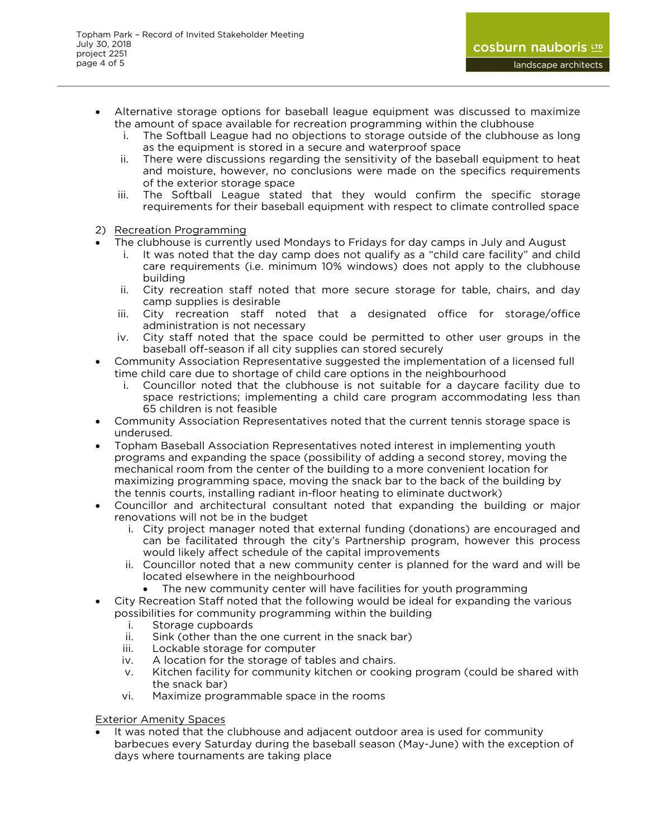- Alternative storage options for baseball league equipment was discussed to maximize the amount of space available for recreation programming within the clubhouse
	- i. The Softball League had no objections to storage outside of the clubhouse as long as the equipment is stored in a secure and waterproof space
	- ii. There were discussions regarding the sensitivity of the baseball equipment to heat and moisture, however, no conclusions were made on the specifics requirements of the exterior storage space
	- iii. The Softball League stated that they would confirm the specific storage requirements for their baseball equipment with respect to climate controlled space
- 2) Recreation Programming
- The clubhouse is currently used Mondays to Fridays for day camps in July and August
	- i. It was noted that the day camp does not qualify as a "child care facility" and child care requirements (i.e. minimum 10% windows) does not apply to the clubhouse building
	- ii. City recreation staff noted that more secure storage for table, chairs, and day camp supplies is desirable
	- iii. City recreation staff noted that a designated office for storage/office administration is not necessary
	- iv. City staff noted that the space could be permitted to other user groups in the baseball off-season if all city supplies can stored securely
- Community Association Representative suggested the implementation of a licensed full time child care due to shortage of child care options in the neighbourhood
	- i. Councillor noted that the clubhouse is not suitable for a daycare facility due to space restrictions; implementing a child care program accommodating less than 65 children is not feasible
- Community Association Representatives noted that the current tennis storage space is underused.
- Topham Baseball Association Representatives noted interest in implementing youth programs and expanding the space (possibility of adding a second storey, moving the mechanical room from the center of the building to a more convenient location for maximizing programming space, moving the snack bar to the back of the building by the tennis courts, installing radiant in-floor heating to eliminate ductwork)
- Councillor and architectural consultant noted that expanding the building or major renovations will not be in the budget
	- i. City project manager noted that external funding (donations) are encouraged and can be facilitated through the city's Partnership program, however this process would likely affect schedule of the capital improvements
	- ii. Councillor noted that a new community center is planned for the ward and will be located elsewhere in the neighbourhood
		- The new community center will have facilities for youth programming
- City Recreation Staff noted that the following would be ideal for expanding the various possibilities for community programming within the building
	- i. Storage cupboards
	- ii. Sink (other than the one current in the snack bar)
	- iii. Lockable storage for computer
	- iv. A location for the storage of tables and chairs.
	- v. Kitchen facility for community kitchen or cooking program (could be shared with the snack bar)
	- vi. Maximize programmable space in the rooms

**Exterior Amenity Spaces** 

 It was noted that the clubhouse and adjacent outdoor area is used for community barbecues every Saturday during the baseball season (May-June) with the exception of days where tournaments are taking place